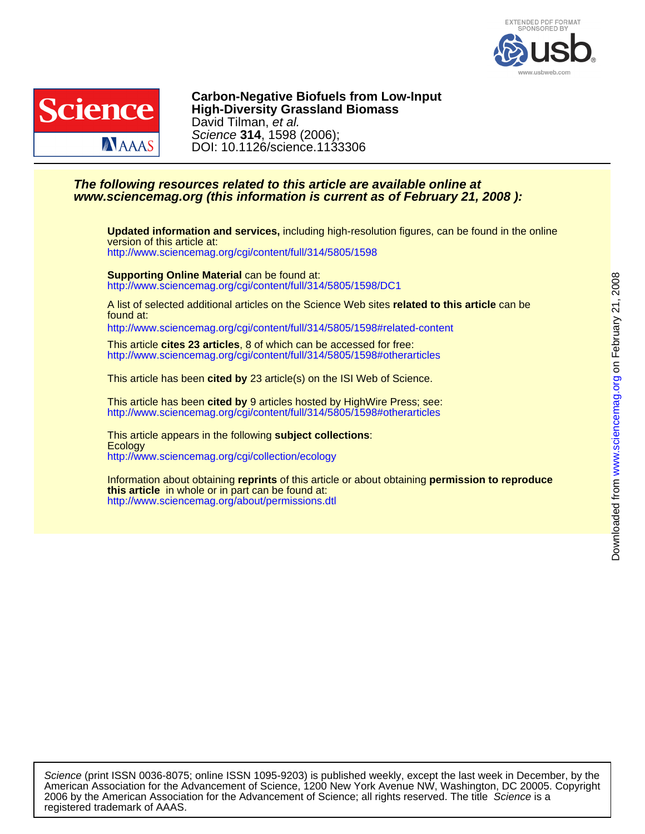



DOI: 10.1126/science.1133306 Science **314**, 1598 (2006); David Tilman, et al. **High-Diversity Grassland Biomass Carbon-Negative Biofuels from Low-Input**

# **www.sciencemag.org (this information is current as of February 21, 2008 ): The following resources related to this article are available online at**

<http://www.sciencemag.org/cgi/content/full/314/5805/1598> version of this article at: **Updated information and services,** including high-resolution figures, can be found in the online

<http://www.sciencemag.org/cgi/content/full/314/5805/1598/DC1> **Supporting Online Material** can be found at:

found at: A list of selected additional articles on the Science Web sites **related to this article** can be

<http://www.sciencemag.org/cgi/content/full/314/5805/1598#related-content>

<http://www.sciencemag.org/cgi/content/full/314/5805/1598#otherarticles> This article **cites 23 articles**, 8 of which can be accessed for free:

This article has been **cited by** 23 article(s) on the ISI Web of Science.

<http://www.sciencemag.org/cgi/content/full/314/5805/1598#otherarticles> This article has been **cited by** 9 articles hosted by HighWire Press; see:

<http://www.sciencemag.org/cgi/collection/ecology> **Ecology** This article appears in the following **subject collections**:

<http://www.sciencemag.org/about/permissions.dtl> **this article** in whole or in part can be found at: Information about obtaining **reprints** of this article or about obtaining **permission to reproduce**

registered trademark of AAAS. 2006 by the American Association for the Advancement of Science; all rights reserved. The title Science is a American Association for the Advancement of Science, 1200 New York Avenue NW, Washington, DC 20005. Copyright Science (print ISSN 0036-8075; online ISSN 1095-9203) is published weekly, except the last week in December, by the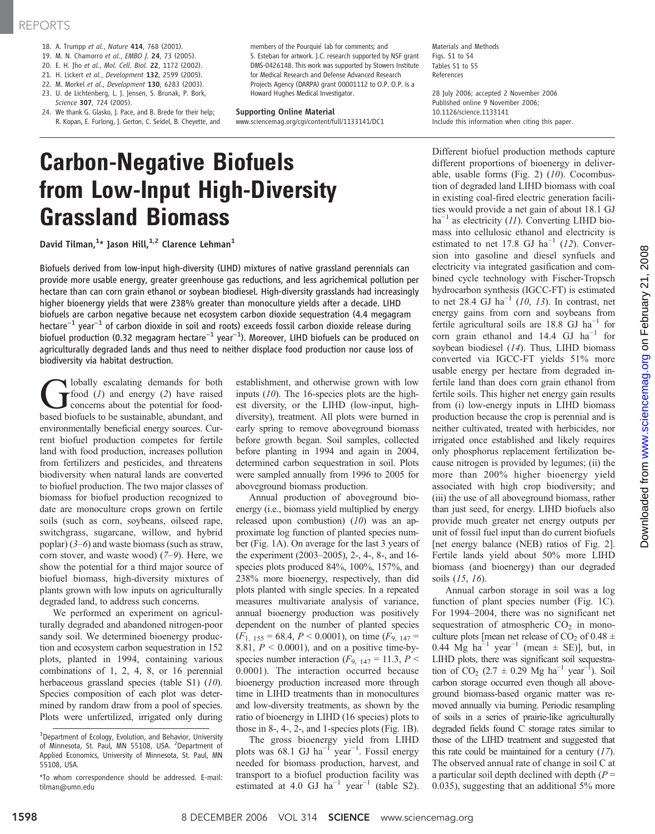### REPORTS

- 18. A. Trumpp et al., Nature 414, 768 (2001).
- 19. M. N. Chamorro et al., EMBO J. 24, 73 (2005).
- 20. E. H. Jho et al., Mol. Cell. Biol. 22, 1172 (2002).
- 21. H. Lickert et al., Development 132, 2599 (2005).
- 22. M. Morkel et al., Development 130, 6283 (2003).
- 23. U. de Lichtenberg, L. J. Jensen, S. Brunak, P. Bork, Science 307, 724 (2005).
- 24. We thank G. Glasko, J. Pace, and B. Brede for their help; R. Kopan, E. Furlong, J. Gerton, C. Seidel, B. Cheyette, and

members of the Pourquié lab for comments; and S. Esteban for artwork. J.C. research supported by NSF grant DMS-0426148. This work was supported by Stowers Institute for Medical Research and Defense Advanced Research Projects Agency (DARPA) grant 00001112 to O.P. O.P. is a Howard Hughes Medical Investigator.

#### Supporting Online Material

www.sciencemag.org/cgi/content/full/1133141/DC1

Materials and Methods Figs. S1 to S4 Tables S1 to S5 References

28 July 2006; accepted 2 November 2006 Published online 9 November 2006; 10.1126/science.1133141 Include this information when citing this paper.

# Carbon-Negative Biofuels from Low-Input High-Diversity Grassland Biomass

David Tilman, $^{1\star}$  Jason Hill, $^{1,2}$  Clarence Lehman $^1$ 

Biofuels derived from low-input high-diversity (LIHD) mixtures of native grassland perennials can provide more usable energy, greater greenhouse gas reductions, and less agrichemical pollution per hectare than can corn grain ethanol or soybean biodiesel. High-diversity grasslands had increasingly higher bioenergy yields that were 238% greater than monoculture yields after a decade. LIHD biofuels are carbon negative because net ecosystem carbon dioxide sequestration (4.4 megagram hectare−<sup>1</sup> year−<sup>1</sup> of carbon dioxide in soil and roots) exceeds fossil carbon dioxide release during biofuel production (0.32 megagram hectare−<sup>1</sup> year−<sup>1</sup> ). Moreover, LIHD biofuels can be produced on agriculturally degraded lands and thus need to neither displace food production nor cause loss of biodiversity via habitat destruction.

bolally escalating demands for both  $r$  food  $(1)$  and energy  $(2)$  have raised concerns about the potential for foodbased biofuels to be sustainable, abundant, and environmentally beneficial energy sources. Current biofuel production competes for fertile land with food production, increases pollution from fertilizers and pesticides, and threatens biodiversity when natural lands are converted to biofuel production. The two major classes of biomass for biofuel production recognized to date are monoculture crops grown on fertile soils (such as corn, soybeans, oilseed rape, switchgrass, sugarcane, willow, and hybrid poplar)  $(3-6)$  and waste biomass (such as straw, corn stover, and waste wood) (7–9). Here, we show the potential for a third major source of biofuel biomass, high-diversity mixtures of plants grown with low inputs on agriculturally degraded land, to address such concerns.

We performed an experiment on agriculturally degraded and abandoned nitrogen-poor sandy soil. We determined bioenergy production and ecosystem carbon sequestration in 152 plots, planted in 1994, containing various combinations of 1, 2, 4, 8, or 16 perennial herbaceous grassland species (table S1) (10). Species composition of each plot was determined by random draw from a pool of species. Plots were unfertilized, irrigated only during establishment, and otherwise grown with low inputs (10). The 16-species plots are the highest diversity, or the LIHD (low-input, highdiversity), treatment. All plots were burned in early spring to remove aboveground biomass before growth began. Soil samples, collected before planting in 1994 and again in 2004, determined carbon sequestration in soil. Plots were sampled annually from 1996 to 2005 for aboveground biomass production.

Annual production of aboveground bioenergy (i.e., biomass yield multiplied by energy released upon combustion)  $(10)$  was an approximate log function of planted species number (Fig. 1A). On average for the last 3 years of the experiment (2003–2005), 2-, 4-, 8-, and 16 species plots produced 84%, 100%, 157%, and 238% more bioenergy, respectively, than did plots planted with single species. In a repeated measures multivariate analysis of variance, annual bioenergy production was positively dependent on the number of planted species  $(F<sub>1, 155</sub> = 68.4, P < 0.0001)$ , on time  $(F<sub>9, 147</sub> =$ 8.81,  $P < 0.0001$ ), and on a positive time-byspecies number interaction ( $F_{9, 147} = 11.3, P <$ 0.0001). The interaction occurred because bioenergy production increased more through time in LIHD treatments than in monocultures and low-diversity treatments, as shown by the ratio of bioenergy in LIHD (16 species) plots to those in 8-, 4-, 2-, and 1-species plots (Fig. 1B).

The gross bioenergy yield from LIHD plots was 68.1 GJ ha<sup>-1</sup> year<sup>-1</sup>. Fossil energy needed for biomass production, harvest, and transport to a biofuel production facility was estimated at 4.0 GJ ha<sup>-1</sup> year<sup>-1</sup> (table S2).

Different biofuel production methods capture different proportions of bioenergy in deliverable, usable forms (Fig. 2)  $(10)$ . Cocombustion of degraded land LIHD biomass with coal in existing coal-fired electric generation facilities would provide a net gain of about 18.1 GJ  $ha^{-1}$  as electricity (11). Converting LIHD biomass into cellulosic ethanol and electricity is estimated to net 17.8 GJ ha<sup>-1</sup> (12). Conversion into gasoline and diesel synfuels and electricity via integrated gasification and combined cycle technology with Fischer-Tropsch hydrocarbon synthesis (IGCC-FT) is estimated to net 28.4 GJ ha<sup> $-1$ </sup> (10, 13). In contrast, net energy gains from corn and soybeans from fertile agricultural soils are 18.8 GJ ha<sup>-1</sup> for corn grain ethanol and 14.4 GJ  $ha^{-1}$  for soybean biodiesel (14). Thus, LIHD biomass converted via IGCC-FT yields 51% more usable energy per hectare from degraded infertile land than does corn grain ethanol from fertile soils. This higher net energy gain results from (i) low-energy inputs in LIHD biomass production because the crop is perennial and is neither cultivated, treated with herbicides, nor irrigated once established and likely requires only phosphorus replacement fertilization because nitrogen is provided by legumes; (ii) the more than 200% higher bioenergy yield associated with high crop biodiversity; and (iii) the use of all aboveground biomass, rather than just seed, for energy. LIHD biofuels also provide much greater net energy outputs per unit of fossil fuel input than do current biofuels [net energy balance (NEB) ratios of Fig. 2]. Fertile lands yield about 50% more LIHD biomass (and bioenergy) than our degraded soils (15, 16).

Annual carbon storage in soil was a log function of plant species number (Fig. 1C). For 1994–2004, there was no significant net sequestration of atmospheric  $CO<sub>2</sub>$  in monoculture plots [mean net release of CO<sub>2</sub> of 0.48  $\pm$ 0.44 Mg ha<sup>-1</sup> year<sup>-1</sup> (mean  $\pm$  SE)], but, in LIHD plots, there was significant soil sequestration of  $CO_2$  (2.7 ± 0.29 Mg ha<sup>-1</sup> year<sup>-1</sup>). Soil carbon storage occurred even though all aboveground biomass-based organic matter was removed annually via burning. Periodic resampling of soils in a series of prairie-like agriculturally degraded fields found C storage rates similar to those of the LIHD treatment and suggested that this rate could be maintained for a century  $(17)$ . The observed annual rate of change in soil C at a particular soil depth declined with depth  $(P =$ 0.035), suggesting that an additional 5% more

<sup>&</sup>lt;sup>1</sup>Department of Ecology, Evolution, and Behavior, University of Minnesota, St. Paul, MN 55108, USA. <sup>2</sup>Department of Applied Economics, University of Minnesota, St. Paul, MN 55108, USA.

<sup>\*</sup>To whom correspondence should be addressed. E-mail: tilman@umn.edu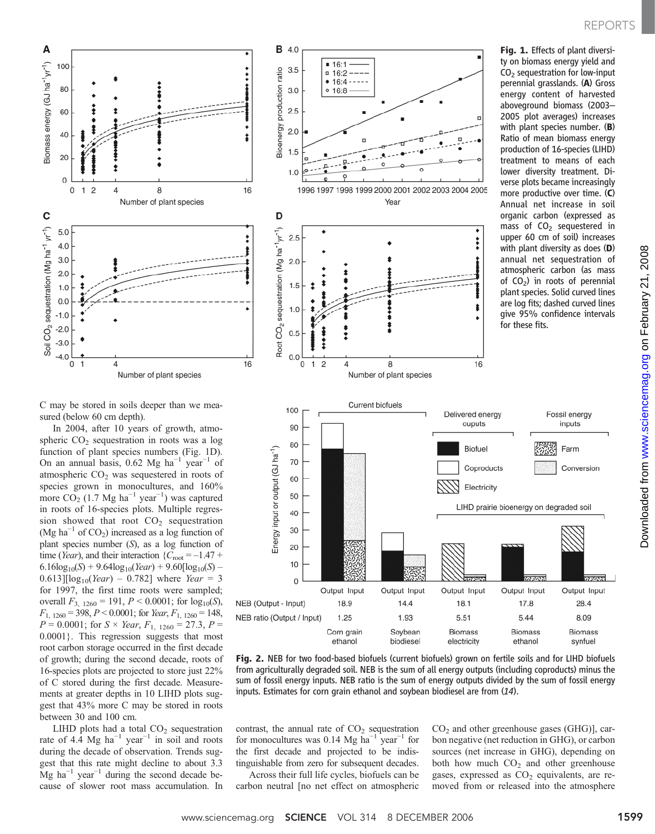# REPORTS



Fig. 1. Effects of plant diversi-



**B** 4.0

 $3.5$ 

 $3.0$ 

 $16:1$ 

 $= 16:2$  $• 16:4 -$ 

 $0 16:8$ 



Fig. 2. NEB for two food-based biofuels (current biofuels) grown on fertile soils and for LIHD biofuels from agriculturally degraded soil. NEB is the sum of all energy outputs (including coproducts) minus the sum of fossil energy inputs. NEB ratio is the sum of energy outputs divided by the sum of fossil energy inputs. Estimates for corn grain ethanol and soybean biodiesel are from (14).

electricity

biodiesel

contrast, the annual rate of  $CO<sub>2</sub>$  sequestration for monocultures was 0.14 Mg ha<sup>-1</sup> year<sup>-1</sup> for the first decade and projected to be indistinguishable from zero for subsequent decades.

ethanol

Across their full life cycles, biofuels can be carbon neutral [no net effect on atmospheric  $CO<sub>2</sub>$  and other greenhouse gases (GHG)], carbon negative (net reduction in GHG), or carbon sources (net increase in GHG), depending on both how much  $CO<sub>2</sub>$  and other greenhouse gases, expressed as  $CO<sub>2</sub>$  equivalents, are removed from or released into the atmosphere

ethanol

synfuel

C may be stored in soils deeper than we measured (below 60 cm depth).

In 2004, after 10 years of growth, atmospheric  $CO<sub>2</sub>$  sequestration in roots was a log function of plant species numbers (Fig. 1D). On an annual basis, 0.62 Mg ha<sup>-1</sup> year<sup>-1</sup> of atmospheric  $CO<sub>2</sub>$  was sequestered in roots of species grown in monocultures, and 160% more  $CO<sub>2</sub>$  (1.7 Mg ha<sup>-1</sup> year<sup>-1</sup>) was captured in roots of 16-species plots. Multiple regression showed that root  $CO<sub>2</sub>$  sequestration (Mg ha<sup> $-1$ </sup> of CO<sub>2</sub>) increased as a log function of plant species number (S), as a log function of time (Year), and their interaction  ${C_{\text{root}} = -1.47 + ...}$  $6.16\log_{10}(S) + 9.64\log_{10}(Year) + 9.60[\log_{10}(S) 0.613$ ][ $log_{10}(Year) - 0.782$ ] where *Year* = 3 for 1997, the first time roots were sampled; overall  $F_{3, 1260} = 191, P \le 0.0001$ ; for  $log_{10}(S)$ ,  $F_{1, 1260} = 398, P < 0.0001$ ; for Year,  $F_{1, 1260} = 148$ ,  $P = 0.0001$ ; for  $S \times \text{Year}$ ,  $F_{1, 1260} = 27.3$ ,  $P =$ 0.0001}. This regression suggests that most root carbon storage occurred in the first decade of growth; during the second decade, roots of 16-species plots are projected to store just 22% of C stored during the first decade. Measurements at greater depths in 10 LIHD plots suggest that 43% more C may be stored in roots between 30 and 100 cm.

LIHD plots had a total  $CO<sub>2</sub>$  sequestration rate of 4.4 Mg ha<sup> $-1$ </sup> year<sup> $-1$ </sup> in soil and roots during the decade of observation. Trends suggest that this rate might decline to about 3.3  $Mg$  ha<sup>-1</sup> year<sup>-1</sup> during the second decade because of slower root mass accumulation. In